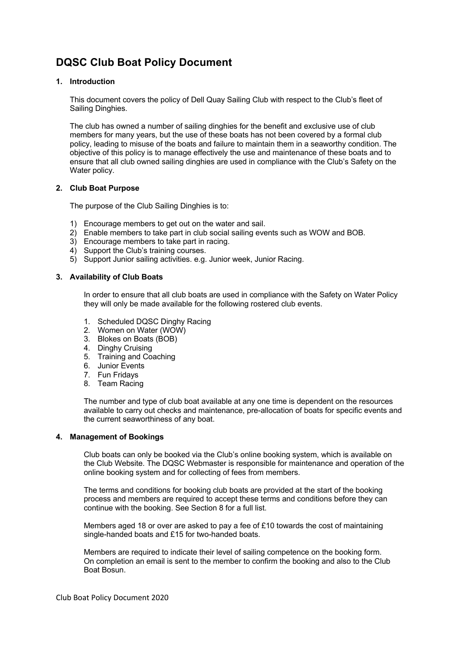# **DQSC Club Boat Policy Document**

# **1. Introduction**

This document covers the policy of Dell Quay Sailing Club with respect to the Club's fleet of Sailing Dinghies.

The club has owned a number of sailing dinghies for the benefit and exclusive use of club members for many years, but the use of these boats has not been covered by a formal club policy, leading to misuse of the boats and failure to maintain them in a seaworthy condition. The objective of this policy is to manage effectively the use and maintenance of these boats and to ensure that all club owned sailing dinghies are used in compliance with the Club's Safety on the Water policy.

# **2. Club Boat Purpose**

The purpose of the Club Sailing Dinghies is to:

- 1) Encourage members to get out on the water and sail.
- 2) Enable members to take part in club social sailing events such as WOW and BOB.
- 3) Encourage members to take part in racing.
- 4) Support the Club's training courses.
- 5) Support Junior sailing activities. e.g. Junior week, Junior Racing.

# **3. Availability of Club Boats**

In order to ensure that all club boats are used in compliance with the Safety on Water Policy they will only be made available for the following rostered club events.

- 1. Scheduled DQSC Dinghy Racing
- 2. Women on Water (WOW)
- 3. Blokes on Boats (BOB)
- 4. Dinghy Cruising
- 5. Training and Coaching
- 6. Junior Events
- 7. Fun Fridays
- 8. Team Racing

The number and type of club boat available at any one time is dependent on the resources available to carry out checks and maintenance, pre-allocation of boats for specific events and the current seaworthiness of any boat.

#### **4. Management of Bookings**

Club boats can only be booked via the Club's online booking system, which is available on the Club Website. The DQSC Webmaster is responsible for maintenance and operation of the online booking system and for collecting of fees from members.

The terms and conditions for booking club boats are provided at the start of the booking process and members are required to accept these terms and conditions before they can continue with the booking. See Section 8 for a full list.

Members aged 18 or over are asked to pay a fee of £10 towards the cost of maintaining single-handed boats and £15 for two-handed boats.

Members are required to indicate their level of sailing competence on the booking form. On completion an email is sent to the member to confirm the booking and also to the Club Boat Bosun.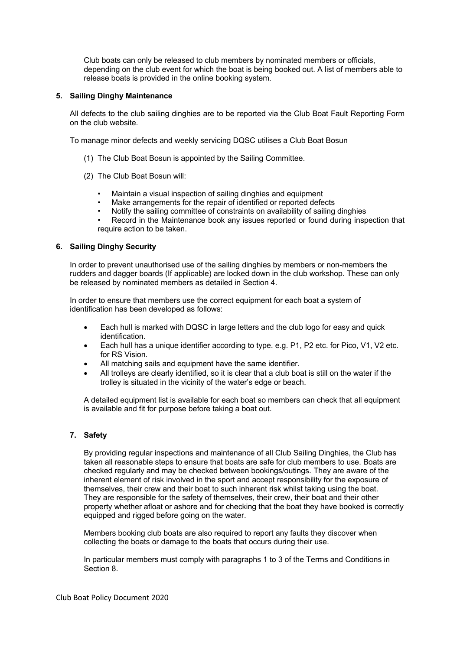Club boats can only be released to club members by nominated members or officials, depending on the club event for which the boat is being booked out. A list of members able to release boats is provided in the online booking system.

#### **5. Sailing Dinghy Maintenance**

All defects to the club sailing dinghies are to be reported via the Club Boat Fault Reporting Form on the club website.

To manage minor defects and weekly servicing DQSC utilises a Club Boat Bosun

- (1) The Club Boat Bosun is appointed by the Sailing Committee.
- (2) The Club Boat Bosun will:
	- Maintain a visual inspection of sailing dinghies and equipment
	- Make arrangements for the repair of identified or reported defects
	- Notify the sailing committee of constraints on availability of sailing dinghies
	- Record in the Maintenance book any issues reported or found during inspection that require action to be taken.

# **6. Sailing Dinghy Security**

In order to prevent unauthorised use of the sailing dinghies by members or non-members the rudders and dagger boards (If applicable) are locked down in the club workshop. These can only be released by nominated members as detailed in Section 4.

In order to ensure that members use the correct equipment for each boat a system of identification has been developed as follows:

- Each hull is marked with DQSC in large letters and the club logo for easy and quick identification.
- Each hull has a unique identifier according to type. e.g. P1, P2 etc. for Pico, V1, V2 etc. for RS Vision.
- All matching sails and equipment have the same identifier.
- All trolleys are clearly identified, so it is clear that a club boat is still on the water if the trolley is situated in the vicinity of the water's edge or beach.

A detailed equipment list is available for each boat so members can check that all equipment is available and fit for purpose before taking a boat out.

# **7. Safety**

By providing regular inspections and maintenance of all Club Sailing Dinghies, the Club has taken all reasonable steps to ensure that boats are safe for club members to use. Boats are checked regularly and may be checked between bookings/outings. They are aware of the inherent element of risk involved in the sport and accept responsibility for the exposure of themselves, their crew and their boat to such inherent risk whilst taking using the boat. They are responsible for the safety of themselves, their crew, their boat and their other property whether afloat or ashore and for checking that the boat they have booked is correctly equipped and rigged before going on the water.

Members booking club boats are also required to report any faults they discover when collecting the boats or damage to the boats that occurs during their use.

In particular members must comply with paragraphs 1 to 3 of the Terms and Conditions in Section 8.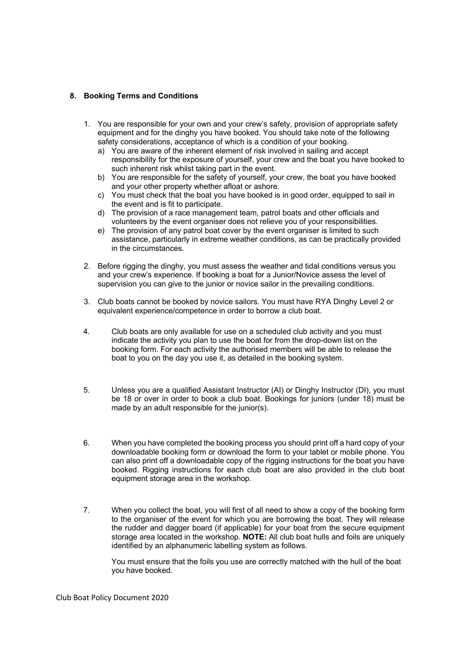# **8. Booking Terms and Conditions**

- 1. You are responsible for your own and your crew's safety, provision of appropriate safety equipment and for the dinghy you have booked. You should take note of the following safety considerations, acceptance of which is a condition of your booking.
	- a) You are aware of the inherent element of risk involved in sailing and accept responsibility for the exposure of yourself, your crew and the boat you have booked to such inherent risk whilst taking part in the event.
	- b) You are responsible for the safety of yourself, your crew, the boat you have booked and your other property whether afloat or ashore.
	- c) You must check that the boat you have booked is in good order, equipped to sail in the event and is fit to participate.
	- d) The provision of a race management team, patrol boats and other officials and volunteers by the event organiser does not relieve you of your responsibilities.
	- e) The provision of any patrol boat cover by the event organiser is limited to such assistance, particularly in extreme weather conditions, as can be practically provided in the circumstances.
- 2. Before rigging the dinghy, you must assess the weather and tidal conditions versus you and your crew's experience. If booking a boat for a Junior/Novice assess the level of supervision you can give to the junior or novice sailor in the prevailing conditions.
- 3. Club boats cannot be booked by novice sailors. You must have RYA Dinghy Level 2 or equivalent experience/competence in order to borrow a club boat.
- 4. Club boats are only available for use on a scheduled club activity and you must indicate the activity you plan to use the boat for from the drop-down list on the booking form. For each activity the authorised members will be able to release the boat to you on the day you use it, as detailed in the booking system.
- 5. Unless you are a qualified Assistant Instructor (AI) or Dinghy Instructor (DI), you must be 18 or over in order to book a club boat. Bookings for juniors (under 18) must be made by an adult responsible for the junior(s).
- 6. When you have completed the booking process you should print off a hard copy of your downloadable booking form or download the form to your tablet or mobile phone. You can also print off a downloadable copy of the rigging instructions for the boat you have booked. Rigging instructions for each club boat are also provided in the club boat equipment storage area in the workshop.
- 7. When you collect the boat, you will first of all need to show a copy of the booking form to the organiser of the event for which you are borrowing the boat. They will release the rudder and dagger board (if applicable) for your boat from the secure equipment storage area located in the workshop. **NOTE:** All club boat hulls and foils are uniquely identified by an alphanumeric labelling system as follows.

You must ensure that the foils you use are correctly matched with the hull of the boat you have booked.